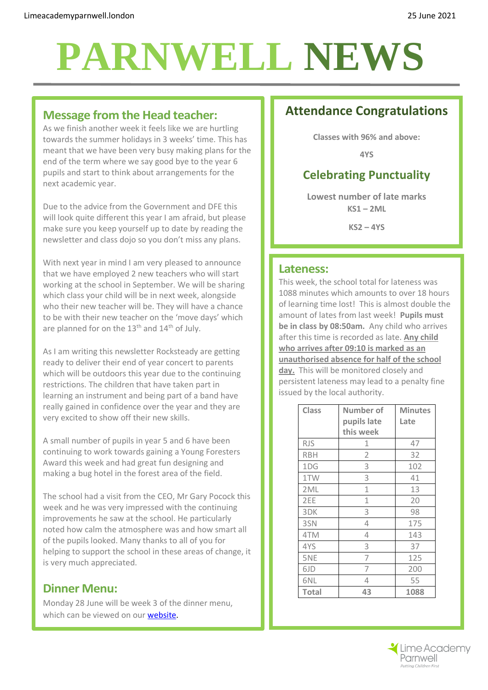# **PARNWELL NEWS**

#### **Message from the Head teacher:**

As we finish another week it feels like we are hurtling towards the summer holidays in 3 weeks' time. This has meant that we have been very busy making plans for the end of the term where we say good bye to the year 6 pupils and start to think about arrangements for the next academic year.

Due to the advice from the Government and DFE this will look quite different this year I am afraid, but please make sure you keep yourself up to date by reading the newsletter and class dojo so you don't miss any plans.

With next year in mind I am very pleased to announce that we have employed 2 new teachers who will start working at the school in September. We will be sharing which class your child will be in next week, alongside who their new teacher will be. They will have a chance to be with their new teacher on the 'move days' which are planned for on the  $13<sup>th</sup>$  and  $14<sup>th</sup>$  of July.

As I am writing this newsletter Rocksteady are getting ready to deliver their end of year concert to parents which will be outdoors this year due to the continuing restrictions. The children that have taken part in learning an instrument and being part of a band have really gained in confidence over the year and they are very excited to show off their new skills.

A small number of pupils in year 5 and 6 have been continuing to work towards gaining a Young Foresters Award this week and had great fun designing and making a bug hotel in the forest area of the field.

The school had a visit from the CEO, Mr Gary Pocock this week and he was very impressed with the continuing improvements he saw at the school. He particularly noted how calm the atmosphere was and how smart all of the pupils looked. Many thanks to all of you for helping to support the school in these areas of change, it is very much appreciated.

#### **Dinner Menu:**

Monday 28 June will be week 3 of the dinner menu, which can be viewed on our **website**.

## **Attendance Congratulations**

**Classes with 96% and above:**

**4YS**

## **Celebrating Punctuality**

**Lowest number of late marks KS1 – 2ML**

**KS2 – 4YS**

#### **Lateness:**

This week, the school total for lateness was 1088 minutes which amounts to over 18 hours of learning time lost! This is almost double the amount of lates from last week! **Pupils must be in class by 08:50am.** Any child who arrives after this time is recorded as late. **Any child who arrives after 09:10 is marked as an unauthorised absence for half of the school day.** This will be monitored closely and persistent lateness may lead to a penalty fine issued by the local authority.

| <b>Class</b>    | Number of   | <b>Minutes</b> |
|-----------------|-------------|----------------|
|                 | pupils late | Late           |
|                 | this week   |                |
| <b>RJS</b>      | 1           | 47             |
| <b>RBH</b>      | 2           | 32             |
| 1DG             | 3           | 102            |
| 1TW             | 3           | 41             |
| 2 <sub>ML</sub> | 1           | 13             |
| 2EE             | 1           | 20             |
| 3DK             | 3           | 98             |
| 3SN             | 4           | 175            |
| 4TM             | 4           | 143            |
| 4YS             | 3           | 37             |
| 5NE             | 7           | 125            |
| 6JD             | 7           | 200            |
| 6NL             | 4           | 55             |
| <b>Total</b>    | 43          | 1088           |

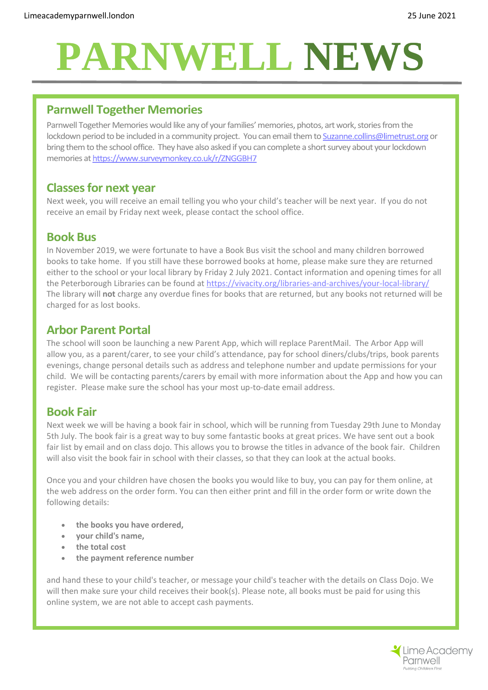# **PARNWELL NEWS**

### **Parnwell Together Memories**

Parnwell Together Memories would like any of your families' memories, photos, art work, stories from the lockdown period to be included in a community project. You can email them to Suzanne.collins@limetrust.org or bring them to the school office. They have also asked if you can complete a short survey about your lockdown memories a[t](https://www.surveymonkey.co.uk/r/ZNGGBH7) https://www.surveymonkey.co.uk/r/ZNGGBH7

#### **Classes for next year**

Next week, you will receive an email telling you who your child's teacher will be next year. If you do not receive an email by Friday next week, please contact the school office.

#### **Book Bus**

In November 2019, we were fortunate to have a Book Bus visit the school and many children borrowed books to take home. If you still have these borrowed books at home, please make sure they are returned either to the school or your local library by Friday 2 July 2021. Contact information and opening times for all the Peterborough Libraries can be found at<https://vivacity.org/libraries-and-archives/your-local-library/> The library will **not** charge any overdue fines for books that are returned, but any books not returned will be charged for as lost books.

#### **Arbor Parent Portal**

The school will soon be launching a new Parent App, which will replace ParentMail. The Arbor App will allow you, as a parent/carer, to see your child's attendance, pay for school diners/clubs/trips, book parents evenings, change personal details such as address and telephone number and update permissions for your child. We will be contacting parents/carers by email with more information about the App and how you can register. Please make sure the school has your most up-to-date email address.

### **Book Fair**

Next week we will be having a book fair in school, which will be running from Tuesday 29th June to Monday 5th July. The book fair is a great way to buy some fantastic books at great prices. We have sent out a book fair list by email and on class dojo. This allows you to browse the titles in advance of the book fair. Children will also visit the book fair in school with their classes, so that they can look at the actual books.

Once you and your children have chosen the books you would like to buy, you can pay for them online, at the web address on the order form. You can then either print and fill in the order form or write down the following details:

- **the books you have ordered,**
- **your child's name,**
- **the total cost**
- **the payment reference number**

and hand these to your child's teacher, or message your child's teacher with the details on Class Dojo. We will then make sure your child receives their book(s). Please note, all books must be paid for using this online system, we are not able to accept cash payments.